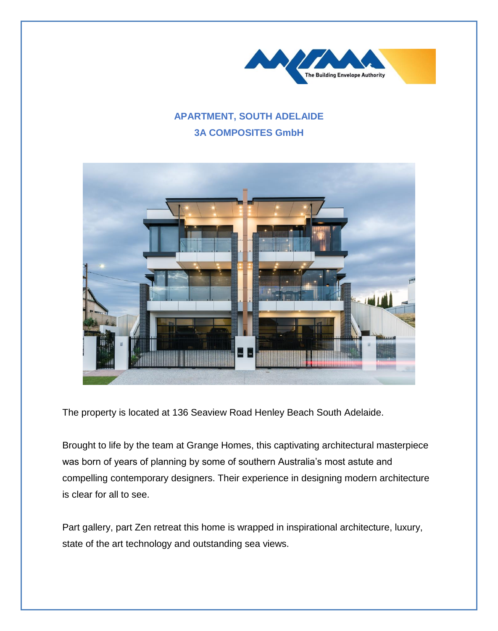

## **APARTMENT, SOUTH ADELAIDE 3A COMPOSITES GmbH**



The property is located at 136 Seaview Road Henley Beach South Adelaide.

Brought to life by the team at Grange Homes, this captivating architectural masterpiece was born of years of planning by some of southern Australia's most astute and compelling contemporary designers. Their experience in designing modern architecture is clear for all to see.

Part gallery, part Zen retreat this home is wrapped in inspirational architecture, luxury, state of the art technology and outstanding sea views.